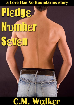# a Love Has No Boundaries story

# **Pledge** Nomber Seven

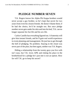#### **PLEDGE NUMBER SEVEN**

T.K. Rogers knows his Alpha Phi Kappa brothers would never accept a gay brother, so he's kept that secret for two years from even his closest friends. He doesn't blame them; if he had the choice, he'd be straight too. But once pledge number seven gets under his skin and into his bed, T.K. can no longer separate his frat life and his sex life.

Carlos Castillo has everything figured out. A fraternity will give him instant friends, and he'll gain real world experience in event planning and management. He just has to get through the hell of pledging. No problem. Staying in the closet was never part of the plan, but then again, neither was T.K. Rogers.

Hiding a relationship from the twenty guys you live with isn't easy, but T.K. loves APK and risking his place in the brotherhood for a pledge he's just met is not an option. How far will T.K. go to keep his secret?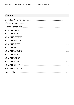#### **Contents**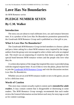# <span id="page-3-0"></span>**Love Has No Boundaries**

#### *An M/M Romance series*

## **PLEDGE NUMBER SEVEN By C.M. Walker**

#### **Introduction**

The story you are about to read celebrates love, sex and romance between men. It is a product of the *Love Has No Boundaries* promotion sponsored by the *Goodreads M/M Romance Group* and is published as a free gift to you.

#### **What Is Love Has No Boundaries?**

The *Goodreads M/M Romance Group* invited members to choose a photo and pen a letter asking for a short M/M romance story inspired by the image; authors from the group were encouraged to select a letter and write an original tale. The result was an outpouring of creativity that shone a spotlight on the special bond between M/M romance writers and the people who love what they do.

A written description of the image that inspired this story is provided along with the original request letter. If you'd like to view the photo, please feel free to join the [Goodreads M/M Romance Group](http://www.goodreads.com/group/show/20149-m-m-romance) and visit the discussion section: *Love Has No Boundaries*.

Whether you are an avid M/M romance reader or new to the genre, you are in for a delicious treat.

#### **Words of Caution**

This story may contain sexually explicit content and is **intended for adult readers.** It may contain content that is disagreeable or distressing to some readers. The *M/M Romance Group* strongly recommends that each reader review the General Information section before each story for story tags as well as for content warnings.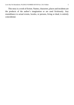This story is a work of fiction. Names, characters, places and incidents are the products of the author's imagination or are used fictitiously. Any resemblance to actual events, locales, or persons, living or dead, is entirely coincidental.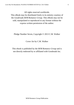All rights reserved worldwide.

This eBook may be distributed freely in its entirety courtesy of the *Goodreads M/M Romance Group*. This eBook may not be sold, manipulated or reproduced in any format without the express written permission of the author.

Pledge Number Seven, Copyright © 2013 C.M. Walker

Cover Art by C.M. Walker

This ebook is published by the *M/M Romance Group* and is not directly endorsed by or affiliated with Goodreads Inc.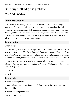# <span id="page-6-0"></span>**PLEDGE NUMBER SEVEN By C.M. Walker**

#### **Photo Description**

Two dark-haired young men sit on a hardwood floor, viewed through a doorway. The younger, clean-shaven man has his back against the wall, wearing a white undershirt, dark pants, and boots. The other man faces him, bracing himself with his hand between his boyfriend's feet. He wears a dark T-shirt and has the beginnings of a beard growing in. The men's faces are close, suggesting an intimate conversation or a kiss.

#### **Story Letter**

#### *Dear Author,*

*Something new that must be kept a secret. But secrets will out, and who discovers this "forbidden" relationship? (And is it really as "forbidden" as they think? Are they keeping their relationship a secret because of a game, because it's easier, because one person in particular cannot know the truth?)*

*HEA (or a strong HFN), and a "forbidden affair" at least at the beginning. Bonus points for some dub-con and/or (reluctant?) kissing in public. Can be any level of heat.*

*Sincerely,*

*May R.*

#### **Story Info**

**Genre:** contemporary

**Tags:** college, coming out, barely legal, first time, in the closet, fraternity, homophobia

**Content warnings**: dub-con

**Word count:** 21,065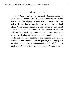#### *Acknowledgements*

<span id="page-7-0"></span>*Pledge Number Seven* would not exist without the support of several special people in my life. Many thanks to my critique partner, Jade, for helping me bounce around ideas and staying patient with me when my ideas bounced back and forth and back again. Words cannot express my appreciation for my friend, Julie, for spending several hours editing *Pledge Number Seven*  and brainstorming plotting issues with me, but most importantly for her cheerleading and, when I needed it, tough love. And my everlasting love and gratitude to my husband Ken and our children for their support and encouragement, for putting up with me when I was stressed, for understanding, and for believing in me. I couldn't do it without you, and I wouldn't want to try.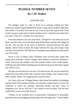### **PLEDGE NUMBER SEVEN By C.M. Walker**

#### CHAPTER ONE

<span id="page-8-0"></span>The pledges stand in a line in front of us wearing nothing but their underwear, hands clasped behind their backs. Large, black numbers label their bare chests. I scan their faces one by one. Even as my brain repeats *don't look at him*, my gaze snaps back to lucky number seven. I wipe his real name from my mind. Until he's a brother, he's just Seven.

From this distance, his eyes look black. Though he's not what you'd call built, taut olive skin covers his deliciously defined pecs and the faint ridges of his abs. The top line of the seven is perfectly centered between his dark nipples. Boxer briefs contain the bulge between his legs and snugly wrap around to his backside. The dark hair covering his legs matches the mop on the top of his head.

Seven is one of fifteen lucky freshmen who received their Alpha Phi Kappa pins yesterday. Earlier tonight, three brothers waxed the freshmen's chests and wrote the numbers onto the smooth surface with a bold marker. Nothing starts the brother-bonding process like having your chest hairs ripped out with hot wax.

My gaze travels back up to his face. He stares at me. No way he missed my inspection of his entire body. Shit. I quickly look to Eight, who's shorter and a little rounder. Better. No inappropriate reactions there.

As Chuck, this year's Pledge Master, talks about the tradition of pledging and the ritual of becoming a brother, my attention wanders back to Seven. He continues to watch me, perhaps expecting another eye-fuck. Sorry to disappoint you, Seven. And yet, I can't seem to avert my gaze. Are his eyes really black or just very dark brown?

"Fifteen of our brothers have so graciously volunteered to personally guarantee that your pledging semester gets off to the right start." Chuck shakes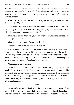the bowl of paper in his hands. "They'll each draw a number and then supervise your completion of a task of their choosing. Failure to complete the task will result in consequences. And trust me, you don't want the consequences."

Chuck offers the bowl to Paulie first. He pulls out a slip of paper, unfolds it, and reads, "Two."

Two nods. You can almost see his mind working a mile a minute, wondering if Paulie is exactly the type of person people mean when they say, "It's the quiet ones you gotta look out for."

Mikey draws next. "Twelve, you're my bitch." He rubs his hands together. "This is gonna be fun."

Chuck steps over to me. "Your turn, T.K."

*Please be Eight. Or Nine. Anyone but Seven.*

I fish around in the bowl, as if the paper marked Seven will feel different from the rest. I tear my eyes off Seven just long enough to read the one I've chosen. My mouth grows so dry that my announcement comes out hoarse. I clear my throat and wet my lips. "Seven," I repeat, this time loud enough to drown out the throbbing of my heartbeat in my ears.

Chuck moves on to Boomer.

Seven shows no reaction. He's either a damn fine poker player or too cocky for his own good. No. Better not think anything about cocks right this minute. I take Seven's stoic nature as a personal challenge. If he can stand there unaffected by what's happening, then I sure as hell can. Well, I'll have to fake it because just the thought of getting him alone in my room makes my dick stand at attention.

\*\*\*\*

Seven still eyes me as Chuck gives the "Go to it" command. Some of the other pledges eagerly approach their assigned brothers. Idiots. Others glance around nervously, as if unsure what to do. Seven stands just as he has been the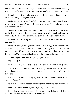entire time, back straight as a rod, no hint that he's embarrassed to be standing there in his underwear or nervous about what task he might have to complete.

I reach him in two strides and wrap my fingers around his upper arm. "Let's go," I say as I tug him forward.

He brings his hands out from behind his back, but doesn't yank his arm away or resist. He doesn't speak. Because he's not sure if he's allowed to or he just doesn't want to?

What had my brothers seen in him? The first time I saw him, last week during Rush, I got a hard-on. I avoided him the rest of the week and hoped he wouldn't get a bid. Turns out I was the only one who voted against him.

I lead him upstairs to my room. I shove him toward the middle of the room and shut the door.

He stands there, waiting calmly. I walk up to him, getting right into his face. He's maybe an inch shorter than me, but I've got at least twenty-five pounds on him. He meets my eyes, giving no indication that my closeness bothers him. Our noses could collide with the slightest of movements.

"You sure you can handle this, tough guy?" I ask.

"Sir, yes, sir!"

I bark out a laugh, unable to help it. "This isn't the fucking army, genius."

A muscle in his cheek twitches, the first sign that he's not some kind of robot, that there might actually be a person in there. A comedian. Who would have guessed?

I slowly circle him, not taking my eyes off him. "You don't want to fuck with me, Seven."

I pause to appreciate that ass, clenching my fists to keep from grabbing it.

He scoffs. "I can handle myself. Against you? Any day."

I complete my circle and step back into his space. He has full, dark pink lips. With a tilt of my head, we could be kissing.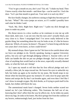"You've got a mouth on you, don't you? Tsk, tsk." I shake my head. Then I know exactly what that mouth—and those lips—can be used for. I lock the door. "Let's put that mouth to good use. Your task is to suck my dick."

His face finally changes, his eyebrows raising so high they become part of his hair. "What?" His voice jumps an octave, as if I couldn't possibly have said what he thinks I said.

"Suck. My. Dick. Right here. Right now." I palm my dick through my jeans to make my point.

His throat moves in a slow swallow as he continues to size me up with those dark, dark eyes. I can see now that his eyes aren't actually black, just very close to it. Have I misjudged him? I've never really believed in the gaydar thing, but something about the way he looks at me, it's like he knows about me. Which, of course, he doesn't. The guys I've been living with the last two years don't even know, so how could Seven?

My stomach drops. Have I gone too far? We have to be careful about what we force our pledges to do. Strictly speaking, hazing is against University policy, but you can't get through pledging without it. Anyone with a set of balls can handle the shit we put our pledges through. And we always steer clear of anything that would land us in the news, especially sexually-themed tasks, so what the fuck am I doing?

As I open my mouth to tell him that his first official pledge task isn't actually a blow job, he steps toward me. He lowers his eyes to unbuckle my belt, but looks up again as he reaches for my jeans. My breath stops in my throat when his knuckles graze my stomach. It's only once he pops open the button and unzips the fly that I can breathe again, and even then I feel like I can't draw in enough oxygen. My dick throbs, as if trying to push itself in his hands, but clothes still block the way.

The unemotional mask hasn't changed. Seven looks neither scared nor turned on; he's just following orders. This frustrates the hell out of me, knowing that I don't affect him the way he affects me. As he slides my pants down my legs, he sinks to his knees. My dick springs free from the confines of my boxers, embarrassingly hard, just inches from his face.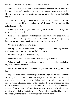Without hesitation, he grabs my dick with one hand and circles those soft lips around the head. I swallow my moan as his tongue swipes across the slit. He works his way down my length, sucking me into the hot heaven that is his mouth.

Sweet Mother Mary of Baby Jesus and all that is pure and holy in this whole goddamn world, as my mother says. Well, sort of. No fucking way this is his first blow job.

I bite my lip to keep quiet. My hands grab at his thick hair as my hips thrust against his mouth.

Shit, how can I keep any level of respect when I'm ready to shoot my load after a few seconds of my dick in his mouth? Preparing for Rush and pledging has kept me too busy to sneak out to the clubs the last few weeks.

"You don't… have to…," I gasp.

He tugs my sack in time with his bobbing head, and for three long seconds, my legs don't feel strong enough to hold me upright.

"Carlos." My voice is husky and low.

He moans around my dick and sucks me in deep as I come.

When he finally releases me, I stagger back and bang into the door. I close my eyes and catch my breath.

Hot air brushes my ear. "I thought this pledging shit was supposed to be hard."

My eyes crack open. I want to wipe that smirk right off his face. I grab his arm and yank him closer until he crashes against me. I kiss him hard, shoving my tongue in his mouth. He doesn't fight or push back. I whip us both around and shove him against the door. My fingers slide down his smooth chest until they reach the waistband of his boxer briefs. I lift them over his dick and kneel in front of him as I push the briefs down his legs. I'm practically salivating at the sight of his dick in front of my face. It's the thrill of breaking his control, I tell myself, not the fact that he looks particularly delicious.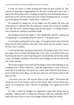It turns out Seven is really fucking loud when he gets sucked off. This amount of moaning is inappropriate for the task I'd planned to give him. I heave him off the door and we stumble towards my bed. Pushing him down, I kneel next to him and lick him from sack to head, breathing him in, as I press my hand against his mouth. "Quiet down, would ya?"

He responds by taking two of my fingers into his mouth. He licks and sucks them as I work his dick. He continues to moan, but at least it's muffled now. His hips buck, and his fingers dig into the sheets. I've finally found a way to break his carefully controlled facade.

He mumbles around my fingers. I can't understand what he's saying, but I'm guessing it's something along the lines of, "I'm gonna come."

I suck harder, pushing him to the edge. A strangled sound comes from his throat and his body stiffens as the salty come shoots into my mouth. I take it all, but I don't swallow.

I crawl up his body, laying my chest on his. Pressing my lips to his, I force my tongue into his mouth and along with it, his come. I can tell from the way his body jerks that he wasn't expecting me to snowball him, but he takes it like a man. All things considered, Seven has worse things to look forward to the rest of the semester.

The kisses progress from hard and bruising to sweet and exploring as our breathing slows. With a final kiss, I take the opportunity to suck in Seven's lower lip as he pulls back. He gives me a small smile when his lip releases. I prop myself up on my elbow. It's the first time I've seen Seven smile in the last two days.

"You know you can't tell anyone what we did, right?" The minute the words are out of my mouth I want to kick myself. Does Seven realize how much I'm trusting him with? "Secrecy of pledging. You signed up for this shit."

It's only a small lie. Pledges are supposed to keep their mouth shut to outsiders. Talking about it within the fraternity itself isn't forbidden. He'll figure that out as soon as one of his pledge brothers opens his mouth.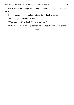Seven looks me straight in the eye. "I won't tell anyone. Not about anything."

I nod. I should thank him, but brothers don't thank pledges.

"So I can go get my clothes now?"

"Yup. You're off the hook. For now, at least."

He leaves the room quickly, as if afraid of what else I might do to him.

```
****
```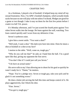#### CHAPTER TWO

<span id="page-15-0"></span>As a freshman, I played a lot of foosball. It helped keep my mind off my sexual frustration. Now, I'm APK's foosball champion, which actually kinda sucks because no one will play with me unless I'm drunk. Pledges are good for a game or two though. I take it easy on them for the first few points before I crank it to full T.K. power.

It's Monday afternoon, and I've just scored the fourth point against Two when Seven walks into the lounge. He leans against the wall, watching. Two loses control quickly and I score from my defensive 2-bar.

Seven's eyebrows raise.

I give him a sweet smile. "You want a shot?"

"Hell yeah, I want a shot." His dark eyes bore into mine. Does he mean a shot at foosball or a shot at my face?

I motion to the table. "Well, come on, tough guy."

"Why do you call me that?" he asks as I hand him the ball. I'm a good sport like that, giving my opponent the first serve.

"You don't like it? I could just call you Seven."

"I do have an actual name."

His serve rolls to my 5-bar allowing me to shoot for his goal so quickly he wasn't ready for it. "Damn," he mutters.

"Nope. You're a pledge now. Seven or tough guy, take your pick and be glad it's not something worse."

He does a better job serving the ball this time and keeps control of it. He plays aggressively, but I block his shot.

"Fine. Seven."

"You got it, tough guy."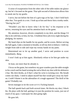A noise of exasperation from the other side of the table makes me glance up, but he's focused on the game. That split second of distraction allows him to sneak one by my goalie.

I serve, but not before the hint of a grin tugs at his lips. I don't hold back after that. Two goals in a row. I look up at him and throw him a toothy smile. "Having fun yet?"

"Wouldn't you like to know what I do for fun," is his response as he serves, returning his eyes and his attention back on the game.

My attention, however, diverts completely to my dick, and the things I'd like to do with him, to him, for fun. A bedtime blow job every night during his pledging, for starters.

My hand slips on the handle for my goalie, and he scores. Before serving the ball again, I take a moment to breathe, to tell my dick to behave. I shift my weight from side to side and wipe my sweaty hands on my pants.

Determined not to let up another goal, I serve and position to score immediately. *Bang*.

I won't look up at him again. Absolutely refuse to let him get under my skin.

At least, not more than he already is.

I focus on the game, but somehow my gaze wanders past the table straight to his crotch and his hand twisting the rod to block my shot with his defensive 2-bar. My dick throbs, as if that's what his wrist is twisting over. My breath comes out shaky. I need to adjust myself but that would give away my hardon. Could I blame it on the adrenaline of a tough opponent? The thrill of the game? Probably not.

Seven manages to tie the score at 4–4. Fucking bastard.

The ball speeds back and forth several times. He blocks my shot, I block his. He plays with the ball, getting it in just the position he wants, just out of reach of my guys. I anticipate his shot going right.

He goes left.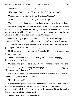What the fuck just happened here?

"Holy shit!" Boomer cries. "Seven just beat T.K. straight out."

"Whooo boy, looks like we got another House Champ."

Seven holds out his hand, a smug smile on his lips. "Nice game."

"Sure." I shake his hand and jerk my head toward him at the same time.

Instead of letting go, I squeeze his hand but not in a hard, pissing-contest kind of way. His eyes widen just the slightest amount; somehow it's enough to put a little vulnerability in his face. He opens his mouth to speak, just as Boomer and Mikey grab him from behind. "What the—"

He flails, trying to get free, but Boomer and Mikey each outweigh him by fifty pounds. Either one could take care of him, but I want in on this action.

They hold him still long enough for me to wrap my arms around him, pinning his arms to his chest. "Get his legs."

He kicks, but it's pretty much over. Gotta give him credit, he never stops trying to twist away.

"Don't you know it's not nice to win against a brother, tough guy?" I tell him as we carry him down the hall.

"What are you going to do to me?" His voice jumps an octave by the end.

In his ear, I say softly, hoping the other guys can't hear over his struggling, "I promise I won't hurt you."

We reach the bathroom and toss him down in a shower stall. I turn the water on and jump back as it shoots out.

"Hey! That's cold!"

By the time he gets to his feet and shuts off the water, his T-shirt clings to his chest and water drips from his hair into his face. Boomer and Mikey laugh their asses off. I join in; it's the easiest way to distract myself from the nipples that are now visible through his shirt.

"Dick!" He shoves me as he walks by.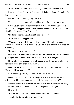"Hey, Seven," Boomer yells. "I know you didn't just threaten a brother."

I put a hand on Boomer's shoulder and shake my head. "I think he's learned his lesson."

Mikey snorts. "You're getting soft, T.K."

They leave the bathroom, still laughing, while I think that one over.

When Seven returns a few minutes later, I'm still standing there like an asshole. He's snagged a towel from someone, and his shirt is tossed over his shoulder. He scowls. "Sore loser much?"

"Nothing personal, man. Part of being a pledge."

"Bullshit it's nothing personal."

"You could be a little bit grateful, you know. If I hadn't stopped them, Mikey and Boomer would have held you down and shaved your head or something."

"Because I beat you at foosball?"

"No, dumbass, because you shoved me after I showered you. You don't pick fights with brothers. You take your shit like a man and you move on."

He towels off his hair and I take advantage of his distraction to admire the reflection of his bare chest in the mirror.

He tosses the towel on the counter and wrings his shirt out over the sink. "So why did you stop them?"

I can't come up with a good answer, so I avoid his eyes.

He turns to face me and catches my gaze. His face is uncharacteristically soft, making him look young and hopeful. "It is personal, isn't it?"

Warmth explodes in my stomach and snakes its way through my body. "You want some dry clothes? You can throw yours in the dryer."

He considers.

"I'm not a total asshole," I add when he still hasn't answered.

A smile slowly spreads on his face. "Sure."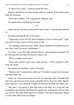"C'mon to my room." I motion toward the door.

Boomer and Mikey are in the lounge when we walk by. They look at each other in confusion.

"You said it, Mikey. T.K.'s going soft," Boomer says.

We ignore them and head up the stairs.

\*\*\*\*

I open my door for Seven and nod for him to enter. I close the door behind us.

He starts undoing the fly on his pants.

"Apparently you're not shy about stripping in front of other guys." I pull out a pair of clean sweats and toss them to him.

"You already sucked my dick. Didn't think I needed to be modest around you. But if you'd be more comfortable—"

"It's fine," I say, but I turn around anyway. Just listening to him peel off his wet jeans has me hard. No need to watch it too.

"All of a sudden you're shy?"

"Jesus, just wanted to give you a little privacy." I pull a random T-shirt from my closet.

He touches my shoulder. I turn to face him.

"Maybe I don't want privacy with you." He holds my gaze for a moment and then kisses me.

There are a thousand reasons why this is a bad idea. Why I should push him away, get him out of my room, and order him to leave me alone. Maybe even slug him. I can't think of a single one because my body has taken over.

The shirt I was going to give him falls to the floor as I wrap one arm around him, pressing his still damp skin against me, making me wish my shirt was off too. My other hand squeezes a handful of his thick damp hair. Drops of cold water slide down my fingers.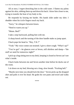All at once, I regret drenching him in the cold water. I flatten my palms against his skin, rubbing them up and down his back. I draw him closer to me, trying to transfer the heat of my body to his.

He responds by kissing me harder. His hands slide under my shirt. I shudder when his icicle fingers touch my back.

"Sorry," he whispers between kisses.

"Need to warm you up."

"Mmm. Bed?"

I take a step backward, pulling him with me.

A sharp knock and the turning of the door handle make us jump apart.

Chuck pops his head in. "Hey, T.K.?"

"Yeah." My voice comes out strained. I give a short cough. "What's up?"

"You've got"—he glances over at Seven, still shirtless and damp—"the stuff we need for tomorrow night?"

I pick up a bag sitting next to my desk, keeping it closed so Seven can't see what's inside.

Chuck looks between me and Seven another time before he ducks out of the room.

I sit down on my bed, blowing out a long, slow breath. "Fucking hell."

"Maybe next time you should lock the door." Seven picks up the dropped shirt and pulls it over his head. He grabs his wet pants and towel and walks out.

\*\*\*\*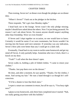#### CHAPTER THREE

<span id="page-21-0"></span>That evening, Seven isn't at dinner even though the pledges are on dinner duty.

"Where's Seven?" I bark out at the pledges in the kitchen.

Three responds, "He's got class Monday nights."

I head back out to the lounge. Seven wasn't the only pledge missing; maybe I should have asked about the others. Now I'm just being paranoid. No reason I can't ask about Seven. No reason anyone should suspect anything other than friendship. Were we even friends?

If Seven and I slept together on occasion, no one would have to know. Certainly it would be easier if we were roommates, but Seven wouldn't be moving into the house until next semester. If yesterday was any indication, Seven's blow jobs were better than any I could get in a dark club.

Eventually, I head back to my room to tackle some homework and get my mind off Seven. It only partially helps. Sometime after ten o'clock, there's a knock on my door.

"Yeah?" I call when the door doesn't open.

Seven walks in, holding a pile of folded clothes. "I came to return your clothes."

"Thanks. Just pop them over on the dresser."

He does, and after a moment, he says quietly, "Thanks. For the clothes, I mean. And saving my hair." He runs a hand through it as though he's selfconscious.

"It'd be a shame to lose that thick mess."

I expect a smart-ass comment in return, but all he says is, "You busy right now?"

I glance at my homework, only three lines completed since I started. "Nah, not really getting anywhere with this bullshit."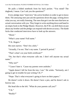He pulls a folded notebook from his back pocket. "You mind? The dogbook, I mean. Can I ask you the questions?"

Every pledge must "interview" the active brothers in order to get to know them. The annoying ones just ask the questions down the page, writing down what you say, not really listening. The ones that get it are the ones that have an actual conversation with you. They forget to write anything down and hand in an empty book to the Pledge Master. However, the P.M. can drill them on just about any brother and the pledge can respond with decent accuracy. The dumb fucks that conducted interviews have to look up the answers.

"Shoot"

"What's your name? Full name."

"T.K. Rogers."

His eyes narrow. "Don't be a dick."

"Actually, I'm not. That's my name. T period K period."

"That's what's on your birth certificate?"

"No, but that's what everyone calls me. I don't tell anyone my actual name."

"Why not?"

"'Cause I hate it. 'Cause my parents were assholes."

"Apple doesn't fall far from the tree, I see." He winks. "Seriously, am I going to get in trouble for just writing T.K.?"

"Nope. That's what everyone's going to have on their papers."

He doesn't write it down. He doesn't have a pen, and he doesn't ask to borrow one.

His head tilts to the left. "What do your parents call you?"

"T.K."

"Really?"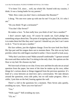"I've been T.K. since… well, my whole life. Started with my cousins, I think. It was a losing battle for my parents."

"Huh. How come you don't have a nickname like Boomer?"

I shrug. "No one ever came up with one for me? I'm just T.K. It's who I am."

"Do you think I'll get a nickname?"

"You don't like Seven?"

He makes a face. "Is that really how you think of me? Just a number?"

I don't answer right away. Of course he stands out. Each pledge has something unique about him. The point of assigning and calling them numbers is to make them feel like they aren't special. I should say yes, but I can't seem to do it. "You're not just a number."

His face softens, just the slightest change. Even his eyes look less black. His lips part and his tongue darts out to moisten them. The skin on my back prickles where his cold fingers touched it earlier. I force myself to look away.

"Why don't you have a seat? Make yourself comfortable." I gesture around the room and then realize that I'm sitting in the only chair. His options are the floor or my bed. He chooses my bed.

We lose track of time as we chat. Every now and then he asks me an actual question from the paper, but most of the time he makes up his own, either things he's curious about or things triggered from the previous question. It's kind of a cross between an interview and a conversation. We take detours around the questions, extra side paths, but we still make progress. After a while, I join him on the bed, leaning against the wall.

There's a lull in the questions for a moment. Then Seven asks quietly, avoiding my eyes, "Have you ever had sex?"

"Yes."

"With a guy?" Still avoiding my eyes.

"Uh, no."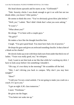His head shoots upwards and he stares at me. "Girlfriends?"

"Nah. Sorority chicks I was drunk enough to get it on with but not too drunk either, you know? After parties."

He seems to think this over. "You've obviously given blow jobs before."

"Well, yes," I admit. "But I didn't think that's what you were asking."

"It wasn't"

"What about you?"

He shrugs. "I've been with a couple guys."

"No girls?"

He makes a face like the thought horrifies him.

I laugh. "You give good head. You must have had a lot of practice."

He drops his gaze and gives an awkward sounding chuckle. Is that a hint of a blush on his cheeks?

He slowly looks up at me with those dark eyes from under that thick row of lashes. "Yours was really good, too," he whispers.

God, I want to see him look at me like that while he's sucking my dick. I have to look away before I do something I shouldn't.

"Oh crap, it's two thirty in the morning!" He scrambles off the bed.

"Shit, I ain't driving you back to campus. Why don't you stay here tonight?"

"Here?"

"I told you I'm not a total asshole. I'm not going to make you crash on a couch. It's up to you."

"I got an eight A.M. class tomorrow."

I snort. "Freshman."

He gives me the finger.

"You better not wake me up."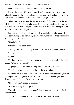He fiddles with his phone and then sets it on my desk.

I leave the room with my toothbrush and toothpaste, trying not to think about how narrow the bed is and the fact that Seven will be sharing it with me. It's better than driving his ass back to campus, right? Sure.

When I return to the room, he's already in bed, all the way against the wall. He looks like he's trying to take up as little space as possible. He's stripped down to his underwear. Maybe I should give him the sweats back just so his tight-ass briefs don't tempt me.

I strip as well and then pull on a pair of sweats before turning out the light. I lie down facing away from him, carefully arranging my body so that I don't touch any part of him.

"Good night."

"Night," he whispers back.

Although we aren't touching, I swear I can feel every breath he takes.

"TK ?"

I grunt.

The bed dips and creaks as he maneuvers himself around in the small space. "What are we doing?"

"Trying to get a few hours of sleep before your early-ass class."

"That's not what I meant." He doesn't have to elaborate.

I perform my own acrobatics to roll over in bed without touching him or falling off. His eyes gleam in the darkness, and I can see the vague outline of his face, but that's all. "Do you want to stop?"

"No. I just didn't expect… so soon…"

"I'm not looking for a boyfriend."

"Well, I'm not anyone's girlfriend." There's an edge to his voice, like I've offended him.

"There's no shortage of girls available if I wanted a girlfriend."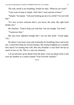The only sound is our breathing. Finally he asks, "What *do* you want?"

"I just want to keep it simple. And I don't want anyone to know."

"Simple," he repeats. "Like just hooking up once in a while? I'm cool with that."

"It's nice to have someone that's, you know, the same. My right hand thanks you."

He chuckles. "Glad to help you with that. Just not tonight. Too tired."

"Tomorrow then"

My eyes have adjusted enough that I can see him smile. "Good night,  $T.K.$ "

He doesn't turn back away and eventually his breathing slows and evens out. I watch him sleep for several minutes. My stomach tightens as I consider how much I'm trusting him with. But why shouldn't I trust him? He has as much to lose as I do. This is a win-win situation.

I sit up and pick up his phone from the desk. I text my phone from it and save my number as a contact named "Your Favorite Asshole."

\*\*\*\*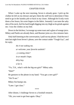#### CHAPTER FOUR

<span id="page-27-0"></span>When I wake up the next morning, Seven is already gone. I pick up the clothes he left on my dresser and give them the sniff test to determine if they need to go in the laundry pile or back in my closet. Although he'd only worn them a few hours, his scent lingers in the fabric. Instantly I can taste the salty skin of his neck, feel his hard length digging into my thigh as he grinds against me. I toss the clothes on my bed.

Down in the kitchen, I scrounge up some toast and a glass of orange juice. Mikey and Paulie are already there, and Boomer joins us a few minutes later.

Only half listening to the conversation, I pull out my phone. I find the text I sent last night from Seven's phone, save the contact under "Tough Guy", and hit reply.

> *thx 4 not waking me. ur welcome. your favorite asshole? ;-) coming 2nite? in ur mouth i hope. dirty boy. u luv it.*

"Yo, T.K., what's with the big-ass grin?" Mikey asks.

"Huh?"

He gestures to the phone in my hand. "You got a new girl?"

"We'll see."

Mikey fist-bumps me.

"Later. I got class."

\*\*\*\*

After dinner, I challenge Seven to a foosball rematch.

"Oh, you want to get beat again. Okay."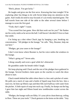"Bitch, please. You got lucky."

He laughs and gives me the first serve. Knowing that later tonight I'll be exploring other fun things to do with Seven helps keep my attention on the game. And I really do need to stay focused; it's an evenly matched game. The ball travels from one side of the table to the other several times before I manage to score the first goal.

"Yeah, that's right!" I taunt.

"You scored first last game. How did that work out for you?" He flashes me his cocky smile as he serves the ball. I still haven't decided if I love or hate that smile.

I'm lining up a shot when Chuck jogs by banging a pot, breaking my concentration. "All pledges in the lounge," he calls. "Hey, Boomer, help me out here."

"Pledges, get your asses to the lounge!"

I don't even know where Boomer is, but his voice rattles the windows in the lounge.

"What's going on?" Seven asks.

I shrug casually and score a goal while he's distracted.

He grumbles under his breath while I laugh.

We keep playing until Chuck and the rest of the pledges have gathered in the lounge. Several brothers claim spots on the couches to watch the show about to start.

Chuck stands behind the table where there is a box and a pitcher of water. He pulls out a stack of cups and a bottle of liquid soap from the box. Into a neat row, he lines up fifteen cups and then fills each halfway with water from the pitcher. A little squirt of soap into each cup. Finally, he dumps out the bag I gave him last night and fifteen brand new toothbrushes scatter across the table.

"Pledges, the lounge walls are filthy. It's your job to clean them up, ceiling to floor. These are your tools." Chuck gestures to the items on the table. "Any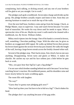complaining, back talking, or dicking around, and any one of your brothers will be glad to set you straight. Get to work."

The pledges each grab a toothbrush. Seven takes charge and divides up the group. His pledge brothers actually respect and listen to him. Soon they are moving furniture to stand on to reach the top of the walls.

Over the next half hour, brothers come and go from the lounge. Chuck, as Pledge Master, stays to supervise. I stay and watch Seven because I'm some kind of masochist. He works his way down until he needs to squat. What a spectacular view of his ass. Maybe my room's walls need to be cleaned with a toothbrush, too. By Seven. Without clothes.

Mikey mock-tiptoes into the lounge. One of his hands is covered in brown, well, something. Chocolate pudding, I hope. With the other one, he gives us brothers an exaggerated *shhh* signal. He walks up behind Seven then presses his brown hand against the section Seven has just cleaned. He walks the length of the wall, leaving a large brown streak across the freshly cleaned white wall.

Several of the pledges stop. Their backs tense, fists clench, but no one says anything. Disappointing. Seven turns and glares at Mikey. It makes me chuckle. He catches my eye and his face softens just a little before he gets back to work.

"Hey, you guys hear that SigTau's got a fag pledge?"

I'm not sure which brother standing behind me said it because I'm too busy watching Seven's reaction. His toothbrush pauses, and his shoulders raise and lower slowly before he starts scrubbing again.

The room fills with laughter.

"No way!"

"Guess they're gonna start pledging girls now?"

"How hard up does your frat have to be to bid on a fag?" Chuck shakes his head.

The pledges don't say anything because of the gag order.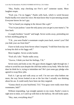"Hey, Paulie, stop checking out Five's ass!" someone taunts. More laughter erupts.

"Fuck you. I'm no faggot," Paulie yells back, which is weird because Paulie hardly ever raises his voice. He must know they're just messing around. Everyone knows he isn't gay.

"We've heard you singing in the shower like a girl."

"You're just jealous 'cause the only pussy you can get is your mama's," he fires back.

A couple brothers "ooooh" and laugh. Seven works away, pretending not to hear anything going on.

"T.K., you were Paulie's roommate couple years back, weren't you? Did you hide your ass from him?"

I have to look away from Seven when I respond, "I told him from day one to keep his dick to his faggy self."

More laughter. Seven scrubs harder.

"Fuck all y'alls." Paulie stalks away.

"Awww, I think you hurt his feelings, T.K."

Seven turns and looks at me. His gaze shoots daggers right through me. I refuse to avoid his eyes despite the chill that settles in my body. Who the fuck does he think he is, trying to intimidate me? He's just some gay pledge who agreed to swap blow jobs.

Fuck it. I get up and walk away as well. I'm not sure what bothers me more, the way Seven looked at me or the fact that I actually was thinking about his ass. It could easily have been me they targeted.

"Gonna check on your boyfriend, T.K.? You guys were really more than roommates, huh?"

Without responding, I go straight upstairs to my room. Paulie's room is right next to mine, so I catch up with him in the hallway. He still looks upset.

"Hey, man, everything okay?"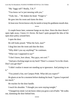"My 'faggy self'? Really, T.K.?"

"You know we're just messing with you."

"Yeah, but…" He shakes his head. "Forget it."

He goes into his room and slams the door.

At least now Seven knows why he needs to keep his goddamn mouth shut.

\*\*\*\*

A couple hours later, someone bangs on my door. Since the door doesn't open right away, I know it's Seven. He hasn't quite grasped the idea of the open door policy around here.

I open the door.

He still looks pissed. "What the fuck, man?"

I drag him into the room and shut the door.

"Why didn't you say anything?" he continues.

"What was I supposed to say?"

"I don't know, how about, 'Hey guys, not cool.'"

"And put a fucking target on my back? There's a reason I'm in the closet. Don't you get that?"

"I didn't realize it meant not standing up to ignorance. And joining in on it."

"You joined a frat, not Campus Pride. What did you expect?"

He glares at me for a moment before shaking his head. "I guess I expected too much."

He reaches for the door handle.

I touch his shoulder. "I thought you were staying tonight."

"Changed my mind. Let me know when you grow a set of balls." He walks out, slamming the door behind him.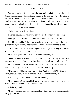#### CHAPTER FIVE

<span id="page-32-0"></span>Wednesday night, Seven doesn't show up until just before dinner duty and then avoids me during dinner. I hang around in the hallway outside the kitchen afterward. When he walks by, I grab his arm and push him back against the wall. My arm rests across his chest and I lean into him so close our faces nearly touch. I'm hoping that from a distance it looks like a confrontation.

"Can we go to my room and talk?"

"What's wrong with right here?"

I glance around. The hallway is empty but who knows for how long?

He sighs, and as the breath blows across my face, he relaxes. "Fine."

I let him go and he follows me upstairs to my room. I'd spent the better part of last night thinking about Seven and what happened in the lounge.

"So none of what happened last night in the lounge bothered you?" Seven asks me when I close the door behind us.

"It's just guys talking shit. It doesn't mean anything."

"Doesn't mean anything? That was us they were talking about." He gestures between us. "You do realize that, right? And you even joined in."

"Look, maybe I was out of line with what I said about Paulie. But we all know he's not gay. He didn't have to take it so personally."

"Do you, T.K.? Do you know for *sure* that Paulie's straight? Isn't that what everyone would say about you or me? 'We all know he's not gay.'"

Paulie? Gay? I can't picture it. "Paulie's not gay."

"But you don't *know* that. Hell, any of the brothers could be gay and you wouldn't know it unless they wanted you to."

I shake my head.

"It's not unreasonable that there could be others. Lots of awesome people are gay. Like me."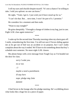I roll my eyes and chuckle despite myself. "It's not a chance I'm willing to take. I told you upfront: no one can know."

He sighs. "Yeah, I get it. I just wish you'd have stood up for us."

"I can't do that. But… next time, I won't be part of it. I promise."

He considers for a moment and then nods.

"Want to stay tonight?"

He grins sheepishly. "I brought a change of clothes in my bag, just in case. Eight A.M. class again tomorrow."

\*\*\*\*

I wake up for the second time Thursday morning when my alarm goes off. I smile, remembering the first time. I'm still not sure if Seven sliding against me as he got out of bed was an accident or on purpose, but I can't really complain about the way it ended. We'll have to do something about that boy's schedule next semester. No more eight A.M. classes.

My phone beeps with a text message from Tough Guy as I'm headed out the door for class.

> *sorry I woke you. no ur not. ;-) maybe u need a punishment. ill stay here nope. pledge mtg 2nite dammit*

> > \*\*\*\*

I find Seven in the lounge after his pledge meeting. He's scribbling down what looks like a huge list on a piece of paper.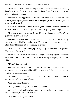"Hey, man." My words are surprisingly calm compared to my racing heartbeat. I can't look at him without thinking about this morning. Or last night. I sit next to him on the couch.

He gives me the biggest smile I've ever seen on his face. "Guess what? I'm in charge of the pledge class fundraiser. We're going to do a Casino Night, and maybe a silent auction, and—"

I laugh. He sounds like a kid about to go on summer vacation. I glance at his list. "You know this is a project for the entire pledge class, right?"

"I'm just writing down some ideas, things we'll need to do. There'll be plenty for everyone to do."

He jots down some more stuff. I remember our conversation from Monday, when we chatted half the night away. "Oh, yeah, this is your thing, right? Hospitality Management or something like that?"

"Uh huh," he says, not looking up. "Hospitality and Business Management. This is what I want to do."

He works for several more minutes before he stretches his arms above his head and arches his back. His shirt rides up, exposing a tempting sliver of his skin.

"Done?" I ask hopefully.

Our eyes meet and lock. We stand at the same time, and then escape to my room as quickly as we can while still looking casual. I shove him against the wall and attack his mouth.

"Mmmm," Seven murmurs when we break for a breath. "If this is punishment, I'll take more, please."

"Just you wait," I growl.

"I've got news," he gasps as I suck on his neck.

After a final lick up his Adam's apple, which makes him shudder, I stop and look at him. "You'd rather talk?"

"My roommate's gone all weekend."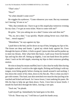"That's nice."

"Nice?"

"So when should I come over?"

He wiggles his eyebrows. "Come whenever you want. But my roommate isn't leaving 'til one or so."

"Shit, that reminds me. I have to go to this stupid play tomorrow evening for my class. I've got an extra ticket. Want to come with me?"

He grins. "Are you asking me on a date? Gonna wine and dine me?"

"No, no, not a date," I say quickly. Maybe asking Seven was a bad idea. "Just… moral support."

"Mmmhmm," he says against my lips.

I push him to the bed, and lie down on top of him, bringing my lips to his. The kisses are deep and frantic. I grind my whole body against his. Even through the layers of fabric, it feels so good. I press into him and he pushes up to meet my thrusts. After what feels like hours, I pull away from his bruised lips and tug his shirt off. Sitting up slightly, I run one hand down his perfect chest. I suck on his left nipple, returning my hips to their torturous grinding motion.

He tries to keep his moans muffled, but it's also clear he really likes having his nipples sucked. I switch to the right nipple, flicking and licking it with my tongue, even biting gently before closing my mouth around it and sucking. I kiss down the center of his chest, down to his flat abs. This is what you don't get with women. This hard, taut skin stretched over muscles that just beg to be touched and licked and kissed. As I move lower, I start undoing his pants. He lifts his hips to help me get them down. Fuck, I love him in boxer briefs. I mouth his hard dick through the fabric, leaving a wet spot.

"Suck me," he pleads.

I pull myself up. Immediately his hand goes to his dick.

"Uh-uh. Those stay on," I tell him as I push his hands away.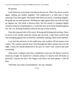# He groans.

I pull down my own pants, leaving my boxers on. Then I lay down on him again, sliding our bodies together. The underwear's so thin that it feels amazing. I kiss him again. His hands slide down my back, scratching slightly. He grabs my ass and squeezes. Holding me tight against him, he rocks his hips up against me. His head is thrown back, but his mouth is clamped tightly closed to keep his moaning down. I watch his face as he fucks himself against me. He's so fucking beautiful when he lets go of that tension.

I kiss the exposed skin of his neck. Kissing and licking and sucking. I have to move to his mouth when his moans get too loud. I take back control and start humping against him so hard he's probably making a dent in the mattress.

I can feel the moisture on his underwear and swallow all his moans as he comes. The wetness and the heat I feel through the fabric pushes me over the edge. I keep my mouth plastered to his just so I don't lose control and start screaming.

Afterward, I collapse onto him, completely worn out. He doesn't seem to mind my weight. Or maybe he's already asleep. It's hard to tell. He looks so peaceful. I nuzzle his neck. His fingers trail down my back gently. I roll off him.

"Still like your idea of punishment," he says sleepily.

\*\*\*\*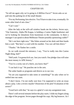# CHAPTER SIX

"So tell me again why we're going to *A Million Faces*?" Seven asks as we pull into the parking lot of the small theater.

"For my Performing Arts elective. You'll have to take it too, eventually. Or some other kind of arts class."

"Can't wait"

After the lady at the will-call window hands me the tickets, Seven says, "Our fraternity, Alpha Phi Kappa, is holding a Casino Night fundraiser and we're looking for donations from businesses in the community. Is there a manager I can speak to about Millhouse Theatre possibly sponsoring a table?"

"He's not here right now." She fishes around on her desk and then hands him a card. "But here's a card with his number. You can call him direct."

"Thanks." He flashes her a smile.

As we walk toward the entrance, I say, "You're really into this Casino Night thing, huh?"

"Hell yeah. I'm gonna kick ass. Just you watch. Our pledge class will raise the most money in APK history."

"You're a cocky son of a bitch, you know that?"

"I can back it up." He punches me in the arm.

The usher hands us programs and directs us to our row.

"So are you supposed to take notes or something?" he asks when we're settled into our seats.

"I don't know. I'm not really sure how I'm supposed to write an essay about a play. Like a review maybe? Dissection of the plot? Evaluation of the actors?"

"Good luck with that," he says in a glad-it's-not-my-assignment tone.

There's still several minutes before the play starts. I slide my fingers along the edge of the program. Seven pages through his copy. My leg bounces. As I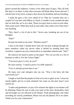glance around the audience, I notice a few other pairs of guys. They all look like they're on dates. Is that what everyone will think about Seven and me? I rub the back of my neck, trying to slow down my heartbeat and my breathing.

I study the guys a few rows ahead of us. Why do I assume they are a couple? If I was here with Mikey or Chuck, I wouldn't even consider the idea that we look like we're on a date. Those two guys lean in close to each other. Their arms touch. When they look at each other, they smile even if they don't say anything.

"Hey, there's a lot of ads in this," Seven says, breaking me out of my thoughts.

"Huh?"

He puts his hand on my knee. "Restless much?"

I stare at his hand. I should shove him off, but heat soaking through my jeans somehow calms my nerves when it should be sending them into overdrive. I squeeze my eyes closed and try to remember what he said. "Ads?"

He removes his hand to point on the paper. "We can use this as a list of business to talk to. For the Casino Night."

"You never give it a rest, do you?"

He turns serious. "I need to prove I'm APK material."

"You've already proven that to me."

He leans over and whispers into my ear, "Was it the blow job that convinced you?"

I laugh so loud that the people in front of us turn to glare at me. I close my mouth tightly and try to look ashamed, but come on, the play hasn't even started yet.

"Ladies and gentlemen, in just a few minutes the lights in our theater will be dimming. Please be sure to take your seats at this time. Remember, food and beverages are not allowed in the theater. Flash photography and video recording are strictly prohibited. Please turn all cell phones off or on silent. Thank you for your cooperation."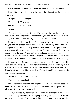Seven slouches into his seat. "Wake me when it's over," he mutters.

I poke him in the side and he yelps. More dirty looks from the people in front of us.

"If I gotta watch it, you gotta."

"That an order?" he teases.

"Do I need to make it one?"

"Nope."

The lights dim and the music starts. I'm actually following the story when I feel Seven's arm nudge mine sometime during the first act. He leans in close. "They're so totally gonna fuck by the end." His breath tickles my ear.

I keep my mouth clamped shut. The spot on my arm where he nudged me tingles, and I'm suddenly very aware that we're sitting together in the dark. Everyone is focused on the play. No one cares about the two guys seated in row twenty. We're not alone, except we are. It's a freedom we don't get to experience at the house. There's always the chance someone will come in my room. If I lock the door, I'd have to explain *why* Seven and I were in the locked room. No one locks their door at the house unless they're hooking up.

I glance over at Seven. He's got an amused expression on his face. He leans over and turns his head as if he was going to whisper something in my ear. He's surprised to find me looking at him and our noses brush. He covers his noise of surprise by kissing my lips. It's our first public kiss, even if it is dark and no one sees it.

"I need to pay attention," I whisper.

"Sure," he whispers back.

My heart pounds. Fear of being caught? As if we're the first two people to ever kiss in a theater. It was unexpected and sweet, and so quick that it's almost as if it never even happened.

Throughout the play, he whispers more smart-ass comments in my ear and I have to bite my lip to keep from laughing. Partway through the third act, his arm grazes mine again. I turn to look at him but he's staring straight ahead at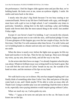the performance. I feel his fingers slide against mine and just like that, we're holding hands. He looks over at me, raises an eyebrow slightly. I smile. He smiles and turns back to the show.

I nearly miss the play's big finish because I'm too busy staring at our connected hands. Never in my life have I held hands with a guy, and though I must have with a girl or two in high school, I can't remember any times in particular. Somehow, sitting here in the dark watching a play and holding hands with Seven feels like the most natural thing in the world. Just another Friday night.

Except it's not Seven's hand I'm holding. I can't reconcile this relaxed, playful, *happy* person next to me with the stoic, stiff-backed pledge I'd met. I'd seen glimpses of this happier guy over the last couple of days, but for the first time, I feel like I'm with someone other than Seven. I'm with Carlos and we're holding hands in a theater and not only am I okay with that, it's making me smile.

When the show is nearly over, before the lights turn up again, he lifts my hand and touches it to his lips. Then he lets my hand go. Heat races through my veins, up my arm, down my body, and all the way to my feet.

As the actors take their bows on stage, I've already forgotten what the play was about. Whatever brilliant essay was writing itself in my head is gone. But I can still feel the cool rush of Carlos' breath on my ear, the warmth of his hand on mine, and the moisture of his lips on my hand.

\*\*\*\*

We walk back to my car in silence. My arm has stopped tingling and I can finally think of something other than Carlos' kiss. Bits and pieces of the play come back to me, and I think maybe I'll be able to write an essay after all. Thank God. Going to another play was not something I had the time or desire to do, especially since paying attention would require going without Carlos.

When we reach my car, Carlos grabs my arm.

"Wha—" I gasp as he turns me and pins me to the car. He leans in and kisses me on the lips.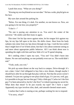I push him away. "What are you doing?"

"Kissing my not-boyfriend on our not-date." He has a wide, playful grin on his face.

My eyes dart around the parking lot.

"Relax. For one thing, it's dark. For another, no one knows us. Now, are you going to let me kiss you properly?"

"I don't—"

"No one is paying any attention to us. You aren't the center of the universe." He smiles and then leans in again.

This time I let his lips move against mine, let his tongue lick against my lips, let my lips fall open to his kiss. He shifts closer. Heat from his body radiates into mine from my lips down through my legs. I end the kiss earlier than I might have if we'd been alone, but that's less about someone seeing us and more about appropriate public behavior. All I can think about now is spending the night with him and how little of it we'll spend sleeping.

He's smiling when I open my eyes. "You see? You didn't burst into flames. No one said anything, no one probably even saw us. The world didn't end."

"Yeah, yeah, you win."

We pick up some dinner on the way back to campus. Drive-through. It's not a date; I don't feel obligated to buy him a nice dinner, though maybe I should have after he sat through that play with me. Not that the actors weren't talented. I'm just not a going-to-see-plays kind of guy. It's just too, well, gay. Is it possible to be gay but not *that* gay? Only a little gay? Carlos isn't the first guy I've been attracted to, but he's the first I've risked exposing my secret for. What does that mean? Is he just exactly my type? Do I have a type? Apparently my type involves slim, dark, and smooth-chested smart-asses.

I realize that Carlos is staring at me, perhaps waiting for me to respond.

"I'm sorry, what?"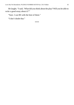He laughs. "I said, 'What did you think about the play? Will you be able to write a good essay about it?"

"Sure. I can BS with the best of them."

"I don't doubt that."

\*\*\*\*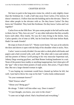## CHAPTER SEVEN

We have to park in the long-term visitor lot, which is only slightly closer than the freshman lot. I walk a half step away from Carlos; if he notices, he doesn't mention it. I follow him into the building and to the elevator. There're three other people in the elevator with us. Do they know Carlos? Do they know me? Doubtful. They look like freshman. Do they know Carlos and I are together?

Carlos lives on the fifth floor. We pass some people in the hall and he nods to them, but no "Hey, how are you?" or any other indication that they actually know each other. How lonely. No way do I miss living in the dorms. Sure, Carlos spends a lot of time at APK, but he lived here full-time before Rush. Hadn't he made friends?

He stops in front of room 527. "Home sweet home," he says as he unlocks the door and shoves it open with the help of his shoulder when it sticks. Nice.

Carlos' room is evenly divided. On one side is a desk piled with books and papers and a bed covered with, well, stuff. The other side is neat and orderly and has posters of Henry Cavill posing in his very muscular Superman suit, Johnny Depp wearing guyliner, and Matt Bomer looking handsome in a suit. None of the posters have nudity or anything inappropriate, but it does give off the "gay" vibe to have three posters of male actors. Hot actors, I'll give them that. But not a large-chested woman in sight.

"I was hoping my roommate would have cleaned up before he left, but well, I just had to throw his crap on his bed." Carlos looks embarrassed.

"So your roommate knows?"

"Huh? Knows what?"

"About you? Being gay?"

He shrugs. "I didn't tell him either way. Does it matter?"

"I-I just thought, you know, you were in the closet."

"I came out in high school. Had a boyfriend and everything."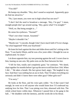"You did?"

He bumps my shoulder. "Hey, don't sound so surprised. Apparently guys do find me attractive."

"No, I just meant, you were out in high school but not now?"

"I don't feel the need to broadcast a message, 'Hey, I'm gay!' I mean, straight people don't go around saying, 'Hey, guess what? I'm straight!'"

"Well, no. But being straight is…"

He raises his eyebrows. "Normal?"

"That's not what I meant. Assumed."

"Maybe it shouldn't be."

"Maybe not," I concede, though I don't have much faith it'll ever change. "So what happened? With your boyfriend."

He leans his back against the door and slides down until he's sitting on the floor. "I was barely fifteen, and he was a few years older. I thought he was so sophisticated. So smart."

I sit down opposite him, my toes pressing against the wall. I scoot close to him, leaning on one arm. My palm rests on the floor between his feet.

"I fell for him, totally and completely gone," he continues. "We dated, slept together for months before I got up the nerve to tell him how I felt. When I did…" He takes a breath. His face grows hard, angry. "He laughed in my face. Said that I was nothing but an ass to fuck. That I'd taken everything too seriously and didn't I know there were other guys? Other girls too?"

"I'm sorry."

He looks at the floor, and his voice gets colder. "As if that wasn't bad enough, he went on to tell anyone who would listen how I'd confessed my undying love for him. That I was pining over him, obsessed with him. The whole school knew within days. Whenever I passed him or his gang in the hall..." He shudders with the memory, and the words die in his throat.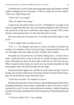I could picture it, naive Carlos expecting puppy dogs and rainbows and this asshole stomping all over his hopes. I'd like to stomp all over the asshole. "That was a shitty thing to do."

"Yeah, well. I was stupid."

"Nah, not stupid. Just young."

I squeeze his arm and he meets my eyes. I'd thought he was angry at me when we argued the other day, but it was nothing compared to this. His face is red, and the ice in his voice could frost a beer mug in seconds. This is more emotion, more passion than I've seen from him since we met.

His voice comes out very quiet now. "I'm really not all that tough. It's just an act."

"You're tougher than you think you are."

"T.K., I…," he whispers and leans in to kiss me before he finishes his sentence. It's tentative at first, but not for long. I stand and pull him up with me. His fingers skim just under my shirt. It tickles, and I squirm.

He pushes me toward the bed. Just before falling into it, we kick off our shoes. I pull him down on top of me and we resume kissing with barely a pause. My hands run down his back until I reach his ass. Oh God, that ass. When I squeeze those cheeks, he moans into my mouth and grinds his hips down against mine. His hard dick digs into my thigh.

He presses harder against me, and then he really starts moving. It starts in his hips, but soon his whole torso is moving in rhythm. His lips find my throat, and I tilt my head back to give him more room.

"I love how you taste," he whispers in my ear.

My hips jerk upwards to meet his thrusts. My throbbing dick and his heavy breathing and throaty moans make it impossible to think. All I know is that I want him in a way I've never wanted anyone ever before. I slide my hands up the sides of his body, peeling off his shirt in the process. He quickly pulls mine off too.

"I want you naked. Now," I say, panting.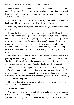He sits up on his knees and undoes his pants. I undo mine as well, but I can't take my eyes off him as he pushes down his jeans, and then finally pulls his dick out of his underwear. He squirms out of his pants as I wiggle mine down and kick them off.

I can't tear my eyes away from his hand jerking himself as he scoots backwards. His head lowers and he kisses the head of my dick.

"Oh, God," I gasp. My eyes fall shut, anticipating the sweet wetness of his mouth.

Instead, he licks the length, from base to the very top. He flicks his tongue into the hole and I nearly leap off the bed in surprise and pleasure. He licks the entire length a few more times, layering it with saliva. Finally, finally, he takes my dick into his mouth and for one awful, wonderful second I think I'm going to come right then and there. I tuck my left arm behind my head so I can watch him more easily. His head bobs up and down slowly, like he's savoring my taste. His cheeks hollow with suction, alternating with his tongue against my dick.

He looks up then, and his dark red lips stretched around my dick is possibly the hottest thing I have ever seen in my entire fucking life. He blinks slowly, his wide eyes looking like innocence while he works my cock like no one has ever sucked me before. It's unfair that he's so damn good at this.

With my right hand, I finger his hair. When he sucks extra hard, I grab a fistful of hair. I don't pull it, not hard anyway, but God, does that feel good. I thrust my hips against his face, gently at first to be sure I don't hurt him, then harder a few more times, and I watch him take it, sucking me in deep, moaning like it's the best thing ever.

He pops off my dick and immediately lies back down against me, lining up our cocks, and kissing me hard.

"Roll over," I tell him.

We rearrange ourselves, him on the bottom and me on the top. I start the way he did, kissing and humping our dicks together. Then I move down his jaw and neck, leaving a moist trail. I lick his right nipple, suck it in, scrape my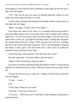teeth against it. He arches his back, pushing his chest right up into my face. I tug on his left nipple.

"T.K." The way he says my name, in absolute pleasure, almost in awe, makes my entire body feel like it's on fire.

I switch sides, sucking and licking the left nipple while tracing circles on the right with my finger.

"Baby," he gasps. "Gonna come if you keep—"

I kiss down the center of his chest. It's so smooth and fucking perfect I have the sudden urge to cover it in streaks of my come. Another time, I tell my eager dick. I'm not even close to done with him tonight. I lick his cock a few times before I take it in. I go right for the deep throat, catching him off guard. He sounds almost like he's crying. I flick my gaze up to his face, watching him buck and writhe and moan in pleasure. This is one advantage to being in the dorms. I don't give a shit who hears him. I don't have to muffle his beautiful noises, the fruits of my labor.

I stroke his dick with my hand. "You like that, don't you?"

He nods vigorously. "So much. More. Suck me more."

"Mmm. I like not having to keep you quiet."

I go back to sucking, alternating deep and shallow strokes. Giving special attention to the head every few times. When his moans turn into pants I back off.

"Uh-uh. Not time for you to come yet." I tightly circle the base of his dick with my fingers.

"I want… I want…"

Lick.

"Yeah, baby? What do you want?"

"Fuck me. I want you to fuck me."

"I've never… Will it hurt you?" I feel like I'm the freshman, asking such a stupid question.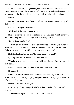"A little discomfort, not gonna lie, but it turns into the best feeling ever." He starts to sit up and I back up to give him space. He walks to his desk and rummages in the drawer. He holds up the bottle of lube and a condom.

"Okay."

He must think I don't sound convinced, because he says, "Don't worry. I'll help you."

I chuckle. "My gay-sex mentor?"

"Hell yeah. I'll mentor you anytime."

He tosses me the condom and lies back down on the bed. "I'm hoping you don't need help with that," he says with that cocky grin of his.

"I think I can handle this."

As I roll on the condom, he dribbles some lube on his fingers. When he starts rubbing circles around his hole, I'm shocked at how much it turns me on. Who knew a guy playing with his own ass would be so hot?

He holds the lube toward me. "Here, give me your hand."

I put my hand closer and he puts some lube on it.

"You have to prepare me, stretch me, with your fingers. Just go slow and it'll be fine."

I slide my finger down from his balls until I reach his hole.

He nods. "Go ahead."

I start with circles, the way he was doing, and then I try to push in. I look back and forth between my finger poking him and his face, trying to make sure I'm not hurting him.

He closes his eyes. "God, yes."

Must be a good sign, so I push a little farther. Slowly, I fuck him with my finger.

"Add another finger," he urges. "Go on. I can take it."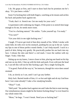I do. He gasps at first, and I start to draw back but he promises me he's okay. "It's just been a while."

Soon I'm fucking him with both fingers, watching as he moans and arches his back and pushes back against me.

"Yeah, that's it. Stretch me. Get me ready for your cock."

I experiment with widening my fingers. If the point is to stretch him large enough to fit me, he needs more room.

"You're a fucking natural." He smiles. "Lube yourself up. I'm ready."

"You sure?"

"Get your dick in me right fucking now."

I laugh. I'll never get tired of that dirty mouth of his. While I stroke with some lube, he rolls over on his stomach, pushing his ass up in the air. I press my lips to one of those perfect round cheeks. I can't help myself. I suck in a patch of skin, biting very gently. He practically pushes his ass back into my face. I release the skin and there's a red mark. I trace the outline with my finger. Yeah, I like that.

Sitting up on my knees, I move closer to him, placing one hand on his hip and one on my dick. I line up with his hole and push. Even with just the head in, I can tell this will not be like fucking a girl. Not a single fucking bit.

"I'm good. Push all the way in," he instructs, though his voice does sound strained.

I do, as slowly as I can, until I can't go any farther.

Holy fuck. Buried inside of him, it's so hot and tight and oh my God how have I not come already? I take a few steadying breaths.

"Okay?" I ask.

"Hell yeah." He pushes back against me and I take the hint to start moving. Our simultaneous moans might be the hottest fucking thing I've ever heard in my whole entire life.

"More," he begs. "I won't break. Need you so fucking bad."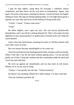I grip his hips tightly, using them for leverage. I withdraw almost completely, and then shove all the way back in immediately. Again. And again. He rocks on his knees, meeting my thrusts. I stroke his back, my fingers sliding in sweat. My legs are already getting shaky. It's too tight and so good. I squeeze my eyes shut and focus on the feeling of being inside him.

"Carlos," I moan. "Gonna come soon."

"Yeah"

He shifts slightly, and I open my eyes. His arm moves rhythmically beneath him, and I can tell he's jerking himself off. That's all it takes for that tightness to start, knowing that I've gotten him so turned on he can't help but touch himself.

I give a few last, hard thrusts, moaning his name as I fill the condom with wave after wave of come.

His own moans become unintelligible as he comes too.

I lean forward and rest my head against his back, trying to catch my breath. When I feel like I can lift my head without getting dizzy, I sit up and pull gently out of him. I drop the condom into the wastebasket under his desk and crawl into bed with him.

He curls up against me immediately and our lips meet in soft kisses. Mostly we're on our way to sleep.

"Tobias," I say quietly into his hair. "Tobias Kennedy."

He doesn't say anything. Maybe he's fallen asleep. I'm okay with that.

I kiss his forehead and drift off.

\*\*\*\*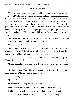# CHAPTER EIGHT

The next morning when we wake up with our morning wood poking each other, I pull Carlos into my arms and kiss him and grind against him. A couple of blow jobs later and we're ready to face the world. Or at least take showers. I like being able to walk out of Carlos' room and not have to worry about who's seeing me. We behave in the shower, using separate stalls—I'm not up for public sex, in more ways than one—and get dressed. It's Saturday, so of course there's a party tonight. The pledges are in charge of prepping for it which sucks because I'd much rather hide out in Carlos' room and fuck all day.

We don't have to rush back, so we stop for breakfast at a diner. As we slide into the booth, Carlos' foot brushes mine. I jump a mile.

"Sheesh. Sorry."

We're close to APK's house. Someone we know could walk in at any time. Considering I'd told Mikey I was spending the night with my hot *female* date, explaining breakfast with Carlos would be difficult.

After we order and the waitress brings our coffee, Carlos says quietly, "So, Tobias Kennedy, huh?"

"If you laugh, I swear to God I'll kick your ass, no matter how nice an ass it is."

"I think it's nice. Toby. That'd be a good name for you, if you weren't such an asshole." He throws a creamer at me.

"Toby? Really?"

"I like it."

"It sounds so…" I stop myself just in time.

He looks at me for a long moment and then blinks slowly. "Gay?"

I fiddle with my coffee mug and sigh. "That's not what I meant."

"Yes it is. That's exactly what you meant." His voice is sharp.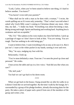"Look, Carlos, when you've been raised to believe one thing, it's hard to believe another. You know?"

"You haven't even told your parents?"

"'Man shall not lie with a man as he does with a woman," I recite, the words spilling out as if it were only yesterday. "That's what I was told when I asked why Uncle Billy wasn't coming to Christmas dinner any more. After that, my dad…" I shake my head. "Everything was about becoming a man. Being strong and tough. Sports and hunting and working hard. Anything less is weakness and not acceptable."

"Oh, T.K." The sadness in his voice makes my chest feel hollow. I pick up a package of sugar so I don't have to look at him. "You *are* strong. You *are* tough. That has nothing to do with being gay."

I want to believe him. I want everything to be as easy as he says it is. But it just isn't. I stare at the white packet in my hands, turning it over and over.

"Hey," he says, nudging my foot with his.

Reluctantly, I look up.

"You're most definitely a man. Trust me. I've seen the proof up close and personal." He winks.

I lean across the table and say in a low voice, "And did you like what you saw?"

"Oh, hell yeah."

Too bad we can't go back to his dorm room.

\*\*\*\*

When we get back to the house, I hang around the car after he walks in so it doesn't look like we arrived together. By the time I walk by the lounge, he's surrounded by a group of his pledge brothers, already discussing plans for the party. He takes a piece of paper and a pencil from one of the members of the group and writes a list.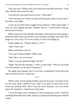"Hey, hey, hey!" Mikey calls as he walks down the hall toward me. "Look who's finally home from his date."

I can feel the color drain from my face. "What date?"

"With that girl you've been texting with that goofy smile on your face?" He looks at me oddly.

I cover up my relief with a waggle of my eyebrows. "Had a great night." I raise my voice slightly and add, "Smokin' hot sex." Carlos doesn't look up, but his pencil breaks.

Mikey claps me on the shoulder and laughs. Paulie joins us in the lounge. I pretend to follow their conversation, but I'm really watching Carlos. How did I forget my cover story? If I'm not careful, I'll fuck everything up.

Paulie nudges me. "Doncha think so, T.K.?"

"Huh? Yeah. Sure."

Mikey and Paulie crack up.

"Your girl coming tonight?" Mikey asks.

"Nah. She's, uh, out of town."

"Didn't you just spend the night with her?"

"Right. She left this morning." I offer a weak smile. "Why do you think I'm here instead of at her place boning her?"

He laughs and responds, but I'm too busy wondering if Carlos heard me and if he knows by *her* I mean *him*.

\*\*\*\*

While Carlos and his pledge brothers prep for the party, I jot down notes for my essay about *A Million Faces.* Had I ever spent so much time in my room since joining APK? After I hear the music blasting—yes, two stories above the basement—I head down to the party.

I circle the large room, looking for Carlos among the crowd. I find him standing behind the music table, staring at a laptop and clicking away with the mouse.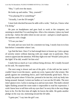"Hey," I yell over the music.

He looks up and smiles. "Hey, yourself."

"You playing DJ or something?"

"Actually, I *am* the DJ tonight."

I must look shocked because he adds with a wink, "And yes, I know what I'm doing."

He puts on headphones and goes back to work at the computer, not seeming to mind that I'm watching him. After a few minutes, I place my hand on his hip—below the table where no one can see—and give a small squeeze. He squirms with a laugh.

"I'll see you later."

He nods and our eyes lock for a moment too long. I nearly lean in to kiss him before I remember where I am.

I go find the beer. Once I've had enough beers to loosen up, I join a group of sorority sisters without dancing with any single one in particular. They seem to appreciate the attention. Will they fight over me? Would Carlos join in the fight? If he did, would I let him win?

I study him as much as I can without being obvious. He's totally focused on his task. No surprise there.

The next song is slower and one of the girls—if she told me her name I couldn't hear it over the music—grabs my wrist. I guess she's the winner. She grinds against me something fierce, and I half-heartedly grind back. This is usually the point where I'd kiss her, pretend to be into her, trick my body into being aroused. Instead, I orient our bodies so I can see the DJ table. The next time I glance over, Carlos is staring at us and our eyes meet. The multi-colored lights flashing around the room make it impossible to read his expression. I wish I knew how to tell him with my eyes that I'm sorry this is the way things have to be. For the first time all night, he leaves the table. He grabs another pledge on his way out, motioning toward the DJ table.

"I gotta pee," I say into the girl's ear.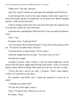"Right now?" she asks, annoyed.

I give her a goofy I-drank-too-much grin and untangle myself from her.

I push through the crowd to the steps, hoping Carlos hasn't gone far. I check the lounge and the two bathrooms on the main level. Before heading upstairs, I look out the front door.

Carlos is sitting on the porch with a red cup in his hand. He chugs the rest of it and then crushes the cup in his hand.

I open the door, startling him. When he sees it's me, he stands up without a word.

"Hey," I say.

He glares at me. "I gotta get back."

"Are you upset with me about that girl?" I step close to him and say in his ear, "You know I'd rather dance with you."

I feel him take in a sharp breath. "So let's dance."

I shift the weight between my legs. "You know why we can't."

He huffs out a laugh.

I breathe in slowly. *Take a chance.* I kiss his cheek. Right here on the porch of the frat house. Right under the big Greek letters. Yeah, I've had too much to drink. When he finally looks back up in my eyes, his face is softer.

"You're the one I want to be with," I promise. "That's what matters. C'mon. Let's go back to your place."

He considers, and finally says, "I gotta get someone to cover me on music."

"I thought you already did?"

"For the rest of the night, I mean."

I nod. "I'll get my keys. Meet you at my car."

He smiles. "Okay."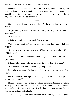He heads back downstairs and I run upstairs to my room. I reach my car first and lean against the hood to wait what feels like hours. I panic and consider going to look for him, but a few moments later he shows up. I toss my keys to him. "You'd better drive."

\*\*\*\*

On the way to his dorm, he says, "I didn't like seeing that girl all over you."

"If you don't pretend to be into girls, the guys are gonna start asking questions."

"Let them ask."

I shake my head. "It's not a good idea. Trust me."

"Why should I trust you? You've never tried. You don't know what will happen."

"I've known these guys for two years. If I thought they'd be okay with it, I'd tell them."

"No, you wouldn't. You wouldn't because you can't accept the fact that you're gay."

I shrug. "I like guys. I like having sex with you. I don't deny that."

"But you still think there's something wrong with it."

I don't have a response for that, and neither of us speak for the rest of the drive.

Once we're in his room, I point to the computer on this desk. "You got any music on that thing?"

He brings up one of his playlists. I pull him tight against me and show him exactly how I would have danced with him if we could have. It only takes minutes before it turns more into vertical dry-humping than dancing. After a few songs, he takes a step back.

"T.K., how do you think your life would be different if you weren't gay?"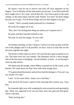He doesn't wait for me to answer and ticks off each argument on his fingers. "You'd still play all the same sports you do now. Your dad would still have taught you to 'be a man' and all that shit. You'd have gone to the same college, in the same major, had the same friends. You don't do those things because you're gay. You do those things and you also happen to be gay."

I smirk. "That's actually kinda profound for a freshman."

He sticks his tongue out at me.

"Hey, don't be sticking that thing out unless you're gonna use it."

He grins and then launches himself at me.

Oh yeah, he uses his tongue. So very well.

\*\*\*\*

On Sunday morning, we don't sleep in. Carlos is on clean up duty with the rest of the pledges and if at all possible, we don't want it to look like we left the party together last night.

The house is silent when we arrive. We ease the door open as quietly as we can. The main level isn't too trashed. The basement will be a mess though. One of the best parts of pledging—for the brothers, at least—is not having to clean up after parties.

We tiptoe past the lounge, where Mikey is passed out on the couch, to the kitchen. We wash down our Pop-Tarts with some orange juice.

"I'm gonna head downstairs and see how bad the damage is. If no one's up yet, maybe I'll crash."

I nod. "A few more hours' sleep's not a bad idea."

And, because the house is quiet in that morning-after-a-party way, I kiss him.

He responds right away with wrapping his arms around me and opening his lips. What was supposed to be see-you-later turns into god-you-feel-goodwhere's-the-bed.

"Holy fucking shit."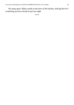We jump apart. Mikey stands in the door of the kitchen, looking like he's wondering just how drunk he got last night.

\*\*\*\*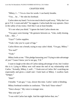#### CHAPTER NINE

"Mikey, I…" I'm at a loss for words. I can barely breathe.

"You… he…" He rubs his forehead.

Carlos takes my hand. I'm in too much shock to pull away. "Why don't we go to T.K.'s room and talk?" he suggests. Carlos leads the way upstairs. Once in the safety of my room, I feel like I can at least breathe.

"It's not what you think." I ignore the look Carlos shoots me.

"You guys were kissing." He gestures between us. "Like, really kissing. Like… like…"

"Gays?" Carlos supplies.

"Yeah. Like you're a pair of fags."

Carlos blows out a breath, trying to stay calm I think. "I'm gay, Mikey."

"For real?"

"Yeah"

Mikey looks at me. "This pledge harassing you? Trying to take advantage of you? 'Cause I know you're not gay, T.K."

I want to laugh at the idea of Carlos taking advantage of me, but I realize this is it. Lying to Mikey now will mean the end of my relationship with Carlos. "Actually, Mikey, I, well…" I look over at Carlos. He's watching me expectantly and gives a small nod. I look back at Mikey. I swallow hard. "Iamgay."

"Huh?"

I breathe. "I am gay," I say, slower this time. Carlos' smile is blinding.

Mikey forehead wrinkles in confusion. "The fuck? Since when?"

"Since always." My voice is stronger now.

"But your girl—"

"I was with Carlos last night. And the night before that, too."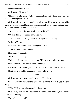He looks between us again.

Carlos nods. "It's true."

"My head is killing me." Mikey scrubs his face. "Like this is some kind of fucked-up hangover dream."

Carlos walks over to me, standing so close our sides touch. He wraps his arms around my waist. My arm automatically finds his shoulder. He leans over to kiss my cheek. "Nope. This is real."

"So you guys are like boyfriends or something?"

"Or something," I respond immediately.

"T.K. and Seven," Mikey muses, shaking his head. "All right."

"All right?" I ask.

"Just don't hit on me. I don't swing that way."

"You're not—You don't care?"

He shrugs. "Not really."

"Please don't tell anyone."

"Whatever. I need to get some coffee." He turns to head for the door.

"No, seriously. You can't tell our brothers."

Mikey turns back to us, puts his hand on my shoulder. "We're cool, bro."

He gives my shoulder a squeeze before walking out.

\*\*\*\*

Carlos wraps his arms around my neck. "You did it!"

"Yeah. Don't know what the fuck I was thinking. I'm just glad it went okay."

"Okay?' How much better could it have gone?"

"It's Mikey. I'm not sure how good at keeping secrets he is, you know? This could blow up on us."

"So let's take control."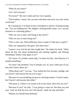"What do you mean?"

"Let's tell everyone."

"Everyone?" My eyes widen and my voice squeaks.

"The brothers, I mean. We can start with them and move on to the whole world later."

He's teasing me. I'm about to have a breakdown, and he's fucking teasing me. "Are you kidding me? We dodged a fucking bullet today. Let's not put ourselves in a shooting gallery."

"Why are you so okay with being in the closet?"

"Why are you so okay being out?"

"This is who I am. What difference does it make if I like boys or girls?"

"Boys are supposed to like girls. Not other boys."

"I guess I was sick the day they taught that." He shakes his head. "What about all that shit about brotherhood and sticking together and lifelong friendships? Doesn't that apply to us?"

"Of course. If a brother needs help, I'm there for him. And likewise if I needed something."

"So what's the problem? You're already you. It's just a little part of you they don't know about yet."

"What about you?" I accuse. "You rushed the frat, became a pledge, and you haven't told anyone but me you're gay."

"Because it's not something you put on a fucking resume. I'm also Latino, but I haven't told anyone that either."

"The point is, if there's no reason to be in the closet, then why are *you*?"

"Because of you!" he yells. "I was going to come out. But then you and your 'suck my dick but you can't tell anyone' made me stop and think."

"Maybe you should keep thinking."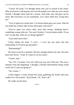"I have! All week, I've thought about why you've stayed in the closet. Why you haven't told anyone, not even the people you claim are your closest friends. I thought, there must be a reason. And yeah, sure, the guys can be asses. But everyone's an ass sometimes. Let's show them how wrong they are."

"You've spent two weeks here. I've known these guys two years. Who do you think has a better idea of how these guys will react?"

"You've spent two years—hell, more like twenty—thinking there's something wrong with you. You aren't broken. I'm not broken either. If you can't accept that, what are we doing together?"

"I just need more time."

Carlos shakes his head. "I can't… I can't put any more into this relationship if it'll never go anywhere."

"Relationship?"

He stares at me for a moment. His face changes before my eyes. He turns back into Seven. "Yeah. It's time to cut my losses."

"Carlos, wait."

"No, T.K., I'm done. You can't talk your way out of this one. This was a mistake from the beginning. I thought a friends-with-benefits thing would work, but it's just not going to."

"No, Carlos—"

Carlos begins a circle around the room, gathering his books and stray clothes he's left around. "Just friends, T.K. That's all."

He walks out the door.

\*\*\*\*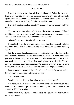### CHAPTER TEN

I stare in shock at the door Carlos just slammed. What the fuck just happened? I thought we made up from our fight and now he's all pissed off again. We were very clear in the beginning. Just sex. No one can know. He agreed to those terms. Is it my fault he changed his mind?

But what was his problem exactly? The secrecy or the just-sex part? Or both?

The look on his face when I told Mikey, like he just got a puppy. When I told him no way I was coming out? Like someone drowned the puppy. No. No, that look came when I reminded him it was just sex.

What did that mean? Was he falling for me?

I think back to all the little gestures he made over the weekend. Holding my hand. Public kisses. Shouldn't they have been little warning blinking lights?

I sit down on my bed. For some reason, the idea that Carlos has feelings for me—romantic feelings—seems impossible. And yet, I'd liked those little gestures. I'd liked being in a place with him where we could be free to look and touch each other, even if it was just holding hands or a quick kiss. The sex is awesome, sure, but *those* moments. The moments of just us in our own world, that's what I'll miss. Even now my hand feels empty without his.

Is there any way to make it right? If I tell him I'm ready for a relationship, but not ready to come out, will that be enough?

Am I ready for that?

Would it be any different than what we were doing already?

I'm not sure. All I know is I'm already missing him, even though he'd been here five minutes ago. He's in the building. He'll be a brother of the fraternity. He's not leaving.

Is that any better? Now that I know I have feelings for him, that I want to be his boyfriend?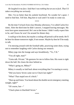*He laughed in my face. Said that I was nothing but an ass to fuck. That I'd taken everything too seriously.*

Shit. I'm no better than his asshole boyfriend. No wonder he's upset. I need to find him. Tell him. Beg him to wait until I'm ready to come out.

\*\*\*\*

By the time I'm back from class Monday afternoon, I've called Carlos five times. After the third time he didn't answer, I stopped leaving messages. My texts have gone unanswered. He's not at the house. I didn't really expect him to be, and I know he won't be around for dinner duty.

I could go to his dorm, but maybe a cooling-off period is all he needs. He'll be here for dinner tomorrow night, if not sooner. Maybe by then he'll be ready to talk.

I'm messing around with the foosball table, practicing some shots, trying not to remember laughing with Carlos during our rematch.

Mikey jogs into the lounge and says breathlessly, "Yo, T.K."

"You all right, man?"

"Gotta talk. Private." He gestures for me to follow him. His room is right down the hall. He closes the door behind us.

"What's going on, Mikey?"

Mikey is usually so laid back about everything that I'm starting to worry.

"Did you know Seven came out to Chuck last night?"

"What? That stupid son of a bitch."

"Shut up and listen. You heard about the double secret emergency meeting tonight, right?"

"Of course, but—"

"Chuck plans to blackball Seven."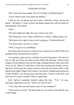### CHAPTER ELEVEN

"But Carlos has class tonight. He can't be there to defend himself."

"I don't think Chuck cares about his defense."

I pull out my cell phone and call Carlos. "Dammit, Carlos, answer the phone." He doesn't. I want to throw the phone against the wall but settle for punching the wall instead.

"Hey!"

"We had a fight last night. He won't answer my calls."

"Him being here won't make a difference to Chuck," Mikey points out.

"He deserves the right to know what's going on. To defend himself."

"You know that's not how it works."

"Well, I've got to try something."

Do Carlos and I even have a chance if he's kicked out of APK? Hell, he'd probably think I kicked him out myself.

I run upstairs, grab my keys, and then race back downstairs. The clock in my car tells me I have less than an hour before the meeting. I head toward campus, but just before I turn onto the long, winding entrance road, a new idea occurs to me. What if I could show Chuck that having a gay brother was no big deal? I drive past the campus and turn down the next street. Half a mile ahead on the right is Sigma Tau Gamma's frat house. I double park beside one of their brother's cars and jog up to the front door. I knock on the door, and only then do I stop to wonder if this is a good idea.

Erik, SigTau's president himself, opens the door. "T.K.," he says, obviously surprised to see me. "What can I do for you?"

"Can I chat with you and maybe some of your members?"

"Yeah, yeah, of course." He steps aside so I can walk in. He leads the way to the lounge.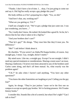"Thanks. I don't have a lot of time. I… okay, I'm just going to come out and say it. Did SigTau really accept a gay pledge this year?"

His body stiffens as if he's preparing for a fight. "Yes, we did."

"And how's that, um, working out?"

"What are you getting at, T.K.?"

I huff out a lungful of air. "We've got a pledge that just came out. I was just wondering, you know…"

"No, I really don't know. He rushed. He looked like a good fit. So far, he's shown that he has what it takes to be a SigTau."

"And your brothers don't care?"

"That he's gay?" He shrugs. "They treat him like they'd treat you. No difference."

"Me?" I ask before I think about it.

He chuckles. "If you weren't an Alpha Phi Kappa brother, of course. Any straight guy, I mean. Gay, straight, doesn't matter."

My mind races. Like me, a straight guy. Except I'm not straight. I didn't need any special treatment or considerations. Sharing a room wasn't an issue. Sharing a bathroom. I'd never even been attracted to any of the brothers until Carlos came along, and that's all been mutual. So, what exactly was the problem again?

"T.K.?" he asks when I haven't said anything. "You have any other questions?"

"You know the other fraternities are laughing at you? Calling you the gay frat?"

Again, he shrugs. "They're just jealous 'cause we're the first one on campus to accept an openly gay brother. We're fucking pioneers. We'll make history books."

I consider this. Sounds like a bit of a stretch, but what if he's right? "Can I talk to him?"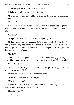"Andy? If you harass him, I'll kick your ass."

I shake my head. "No harassment. I promise."

"I'm not sure if he's here right now. I can maybe find his phone number for you?"

"Thanks."

We head to his room where he shuffles a bunch of papers, looking for the one he wants. "Ah, here it is." He reads off the number and I type it into my phone.

"Thanks."

"No problem. Nice to see APK following in SigTau's footsteps."

He laughs and claps my shoulder. I give a short laugh with him, but I'm really just thinking about what a pretentious ass he is. He walks me to the door. I get back into my car and head back to campus. As I do, I press the buttons to call Andy's number.

"Hello?"

"Oh! Um, hi." I've spent the last twenty-four hours being ignored by my sort-of boyfriend, yet this stranger answers on the second ring. "Is this Andy?"

"Yes. Who's this?"

"My name is T.K. Rogers. I'm a brother with Alpha Phi Kappa. I wanted to talk to you about SigTau."

He hesitates. "Yes." His voice sounds cautious.

"How is… How are they treating you?"

"Uh, it's pledging."

I chuckle. "Yes, I realize that. But I mean, how are they treating you, specifically. Because you're, you know…"

He sighs. "Gay?"

"Yeah. Gay."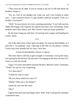"They treat me all right. If you're trying to get me to talk bad about my brothers, forget it."

"No, no. One of our pledges has come out, and I just wanted to make sure… I just wanted to know if a gay brother could be accepted. Truly as a brother. You know?"

"Well," he says slowly, his voice warming somewhat. "I can't tell you how Alpha Phi Kappa will respond, but SigTau has been very welcoming. Some brothers more than others, sure. But I haven't had any major problems."

By the time I hang up with him, I'm turning onto campus and heading for Carlos' dorm.

\*\*\*\*

All of the short-term visitor spots are taken. No time for this bullshit, so I pull into a "no parking" zone. Glancing at the time on my phone, I realize Carlos may have already left for class. I text him.

*Gonna be blackballed. Answer ur phone.* 

This time when I call him, it goes straight to voicemail. I run up the stairs, not waiting for the elevator. By the time I'm banging on the door of room 527, I have to catch my breath.

A guy I've never seen before answers the door. Must be Carlos' roommate. "Yeah?" he says by way of greeting.

"Is Carlos here?"

"I think he went to class."

"Do you know where his class is?"

"Really? What am I, his keeper?"

I push my way into the room.

"Hey!"

I ignore him and start searching Carlos' desk. If he's still got his schedule, it should be here.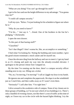"What are you doing? You can't go through his stuff!"

I get in his face and use the height difference to my advantage. "You gonna stop me?"

"I could call campus security."

I roll my eyes. "Relax. I'm just looking for his schedule to figure out where he is."

"Why do you need to know?"

"I'm his…" *Just say it*. "…friend. One of the brothers in the frat he's pledging." *Chickenshit.*

I open the next drawer.

"Is this part of that hazing stuff?"

"Classified."

"Isn't that illegal? I don't wanna be, like, an accomplice or something."

I find what I'm looking for. Noting the building and room number, I give the good-citizen-roommate a mock salute and let myself out.

I hear the elevator ding from the hallway and race to meet it. I get my hand in as it's closing and push my way into the already-crowded elevator. I apologize to the person whose foot I stepped on.

By the time I'm running out the door, there's a campus security officer standing next to my car, filling out a ticket.

"No, no, I'm moving, I'm moving!" I call as I jiggle my keys in my hands.

He ignores me and completes the paperwork. He slaps it on the windshield just as I reach him, and then walks away as if I wasn't even there.

"Seriously?" I yell after him. "I'm right here."

I drive around to the academics side of campus. None of my classes are in these groups of building, so I'm not sure which of two buildings it is. There's only a handful of evening classes, not like there's a ton of traffic at this time of night, so I leave my car in the circle with the hazard lights blinking. I try the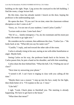building on the right. Nope. I jog across the courtyard to the left building. I find the room, a large lecture hall.

By this time, class has already started. I knock on the door, hoping the professor is the understanding type.

He opens the door. "If you can't be on time, enter the classroom without disruption or don't come at all."

"Sorry, sir. I'm not one of your students. I need Carlos Castillo."

"Lecture ends at nine. Come back then."

"No! It's a… family emergency. I'm, uh, his roommate and his mom just called. He needs to go right now."

He considers me for a minute, then addresses the class. "Carlos Cas—" He looks back at me. "What did you say his name was?"

"Castillo," I reply, and nod toward the other side of the room.

Carlos is already rising in his seat, staring at me with either humiliation or anger. Maybe both.

Seeing Carlos on his way, the professor heads back to his lectern. As Carlos passes him, he puts a hand on his shoulder, and tells him something.

Carlos shuts the door behind him. "What the hell, T.K.? Pulling me out of class?"

"Next time try answering your phone."

"I turned it off. I can't have it ringing in class with you calling all the time."

"Maybe there was a reason." I step up into his face, ready for the fight, then think better of it. "I'll explain in the car. C'mon."

"Like hell."

I sigh. "Look, Chuck plans to blackball you. The meeting is already happening. We have to get back to the house."

"What does that mean?"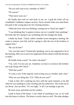"Do you still want to be a member of APK?"

"Of course!"

"Then move your ass."

He finally does and we rush back to my car. I grab the ticket off my windshield. Goddamn campus security. Never around when you need them, but park in the wrong place for five fucking minutes…

"What the fuck were you thinking, coming out to Chuck last night?"

"I was thinking they've gotten to know me so it wouldn't hurt anything." He looks like he's going to say something else but changes his mind.

I shake my head. "Chuck called a double secret emergency meeting. He wants to remove your bid, and he's going to rally the rest of the brothers to support him."

"He can do that?"

"Are you that naive? Technically speaking, you're not supposed to be at the meeting. Hell, you're not even supposed to know about it until the decision is made."

He finally looks scared. "So what's the plan?"

"I'm, well, I'm not sure yet. Somehow we have to convince the brothers not to go along with Chuck."

"Will that work?"

"It's just a vote. If the majority want to keep you as a brother, that's that."

"Why are you doing this, T.K.? Why do you care?"

I look at him. He's studying my face with the same intensity as he did when he was standing in a line wearing only his underwear. The words are in my throat. *Just say them.* "It's not right," is all I can manage to get out.

He turns away and looks out the window.

I park in front of the house. I can't think of anything to say, so we walk into the house in silence. The house is eerily silent as well. The other pledges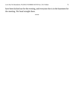have been kicked out for the evening, and everyone else is in the basement for the meeting. We head straight there.

\*\*\*\*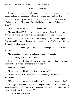#### CHAPTER TWELVE

It looks like all twenty-four in-house members are present at the meeting. A few of them have snagged seats on the various tables and couches.

"T.K.," Chuck greets me from his place in the middle of the room. "Where've you—" He notices Carlos behind me and sneers, "What's he doing here?"

"He should have the chance to defend himself."

"Defend himself?" Chuck asks incredulously. "Okay. Pledge Number Seven, did you or did you not tell me last night that you're a faggot?"

Gotta give Carlos credit, he keeps his chin up. "I told you last night that I'm gay, and I promised that my sexual orientation won't affect my ability to be a good brother for APK."

"Thank you," Chuck says coldly. "You may wait upstairs while we discuss the issue."

"He should stay," I argue even though I know it's pointless.

"T.K.," Mikey warns. "He can't be here."

I turn to Carlos, pleading with my eyes. "Wait upstairs, but please don't leave until we've had a chance to talk. Please?"

He sighs, but agrees.

"Chuck, we can't kick him out just for being gay."

"No? You want APK to become the gay fraternity? What would that do to our image?"

"Make us look progressive? Besides, SigTau's already beat us to that."

"Well, good for them. Let them be the gay fraternity. APK has a strong campus presence. Why risk that for the sake of one person? Shouldn't we do what's best for the frat as a whole?"

There are murmurs of agreement.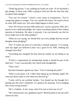"Think big picture," I say, holding my hands out wide. "If we blackball a gay pledge, in thirty years APK is going to look just like the frats that only accepted white pledges."

"You can't be serious." Chuck's voice raises in exasperation. "You're comparing apples to oranges. You can't predict the future. We need to focus on what APK needs *now*. Not what might happen in thirty years."

"Fine. We'll focus on what APK needs now. Carlos is good for APK. He's proven to be a dedicated pledge. He's done everything asked of him without question or hesitation. He takes it seriously. Can you honestly say that for every single one of the other pledges?"

"What are you saying, we should kick out every pledge that has second thoughts about pledging?"

"No!" It comes out more of a yell than a rational response. "I'm saying, until last night you believed Carlos was a great fit for APK. Nothing has changed since then."

"Everything has changed! He lied when he rushed, by not telling us up front."

"If that's a requirement for membership maybe it should be part of the interview." I say it sarcastically, but Chuck nods thoughtfully.

"That's true."

My heart hammers against my chest. "You're missing the point!"

"What is your point, T.K.? Other than taking up our Monday night? We were just about ready to vote when you showed up."

"Carlos will be an excellent brother. You should see the thought he's putting into this year's fundraiser. It's going to be amazing. You're judging him on the wrong reasons."

"He's a liability. A risk. Jesus, what if he tries to fuck one of us?"

"He's homosexual, not a goddamn rapist!" Blood pounds in my ears and I clench my fists.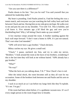"Are you sure there is a difference?"

Paulie shoots to his feet. "Are you for real? You said yourself that you admired his leadership skills."

My heart is pounding. Until Paulie joined in, I had the feeling this was a tennis match, and everyone was just watching the ball volley back and forth between Chuck and me. Having him on my side gives me hope. He walks over to me and puts his arm on my shoulder. "I'm with T.K. This is bullshit, and y'all know it. Five minutes ago y'all liked the guy and now you're blackballing him? Why y'all letting Chuck make up your minds?"

A low murmur creeps around the room. A brother standing against the back wall steps forward. "I don't want a homo in APK. It's just not natural. That's not what God intended."

"APK will never have a gay brother," Chuck declares.

Mikey catches my eye. He gives a small nod.

"Chuck." I pause, unclench my fists, and try to calm my nerves. "Brothers." I look around the room at the faces of my brothers, wondering if this is the last time they will look at me without hatred. "APK already has a gay brother."

"What?"

"No way!"

"What the fuck are you talking about, T.K.?" Now Chuck's face is red.

After the initial shock, the room becomes still as they all wait for my accusation. Some of the brothers look between me and Paulie and his arm on my shoulder.

I suck in as much air as I can before my lungs feels like they'll explode. "It's me. I'm gay."

If the room had been silent before, it's a goddamn vacuum now. It's as if every single person in the room forgot how to breathe.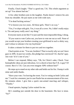Finally, Chuck laughs. "That's a good one, T.K. This whole argument as set up? You almost had me."

A few other brothers join in the laughter. Paulie doesn't remove his arm from my shoulder. He just stares at me with wide eyes.

"I'm dead fucking serious."

"I've known you two years. All those girls. There's no way."

"Yes, I've slept with girls. Yes, it was all a cover. No, I didn't really enjoy it. Tits and pussy really aren't my thing."

Everyone stares at me like I've just said the most impossible thing. I shrug.

"If you want to vote Carlos out, you have to vote me out as well. None of you would accept your brothers treating your girlfriend in such a shitty way, and I refuse to tolerate it for my boyfriend."

It takes a minute for them to put two and two together.

Chuck points at me. "You see, brothers? That is exactly why we can't have gays in APK. In just two weeks, this pledge has convinced T.K. that he's gay. Just wait 'til it's one of you."

Before I can respond, Mikey says, "Oh, for Christ's sake, Chuck. Your homophobic ideas are just ridiculous. Is it a shock to hear that T.K. is gay? Of course. But it's T.K. Can you even imagine APK without him?"

He steps up to stand on my other side and holds out his fist. I bump it with mine and smile thanks.

"Have your vote. I'm leaving the room. You're voting on both Carlos and me." I wait for a moment, just in case Paulie has an announcement of his own. He remains silent. I give him a quick one-armed man-hug and whisper, "Thanks."

I head upstairs, hoping Carlos waited for me.

He's standing just outside the door to the basement. His face is tense. "So?"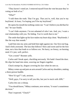"They haven't voted yet. I removed myself from the vote because they're voting on both of us."

"What?"

"I told them the truth. That I'm gay. That you're, well, that you're my boyfriend. At least, I'm hoping you'll be my boyfriend."

He opens his mouth but nothing comes out. "I can't believe you did that for me," he says finally.

"I can't hide anymore. I'm not ashamed of who I am. And, yes, I want a real relationship with you. No hiding. You're worth that to me."

The smile that lights up his face makes my heart skip a beat. "Boyfriends. I like the way that sounds."

I pull him into my arms and hold him tight against me. Our first real hug. And it feels awesome. The kiss that follows? Slow and sweet and for the first time, not a kiss that leads to or follows sex. No hurry, no frenzy, no burning need. It's just, well, perfect.

"Get a room!" Boomer yells.

Carlos and I break apart, chuckling nervously. We hadn't heard the door. He slips his hand into mine, weaving our fingers together.

Chuck stomps by, disgust covering his face when he sees us.

Mikey comes up and puts an arm around Carlos and my shoulders, making a three-person huddle.

"How'd it go?" I ask, anxious.

"Well, guys, I'm sorry to tell you this, but you're stuck with APK."

Carlos lets out a whoop.

"You should know," Mikey continues, now serious, "it wasn't a unanimous decision."

That I expected. "Chuck?"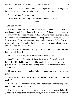"Not just Chuck. I don't know what repercussions there might be, hopefully none, but most of us brothers have you guys' backs."

"Thanks, Mikey," Carlos says.

"Hey, man." Mikey shrugs. "It's what brotherhood is all about."

\*\*\*\*

### *Eight Weeks Later*

Mikey, Boomer, and I walk into the crowded community center with our one hundred and fifty dollars of funny money. A huge banner spans the doorway with the words, "Alpha Phi Kappa Casino Night" printed in bold black letters. More than twenty tables are set up around the room, designed to look like real tables from a casino. Carlos had told me the pledge class sold over two hundred tickets, but the line of people at the door, plus the crowd already inside, still shocks me.

Even Mikey is impressed. "I'm going to find the craps table," he says before wandering off.

"Looks like your boy really pulled it off," Boomer says.

I couldn't be prouder as I walk down the first row of tables looking for my boy. I find him behind one of the blackjack tables, dealing cards to three players. Like all the dealers, he's wearing black pants, a white dress shirt, and a black bow tie.

He catches my eye and smiles. "Got an empty seat here, if you wanna play."

"Nah, blackjack's not really my game. Besides, I'm not sure I can trust the dealer."

"Your loss." He turns back to the game. The heavyset woman sitting on the end hits and he deals her a card.

I watch the rest of the hand, amused at the way he charms the ladies. He glances up. "I'm splitting shifts with Jonesy in about an hour. Find you then?"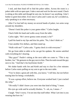I nod, and then head off to find the poker tables. Across the room is a poker table with an open spot. I take a seat and wait for the next round. Chuck is sitting at this table and though he sees me, he doesn't say anything. I don't bother to greet him either. Ever since Carlos and I came out, he's avoided us, only speaking to us when necessary.

After I've lost half my money on several hands of poker, two arms wrap around my shoulders.

"Doesn't look like poker is your game either." Carlos laughs.

Chuck folds his hand and walks away from the table.

Carlos sighs. "He's never gonna come around, is he?"

I pull his hand to my lips and kiss his palm. "No, I don't think so."

I lose another five dollars, and then stand up.

"Walk with me?" Carlos asks. "I gotta check in with everyone."

We go from table to table so he can get his updates. He seems satisfied with everything he's hearing.

"Hey guys!" Paulie's sitting at the next table we come to. "This is my brother, Joe." He gestures to the guy next to him. Then he nods toward the guy next to Joe. "And that's his boyfriend, Keith."

We shake hands with Joe and Keith and stay to chat for a few minutes before Carlos starts pulling on my arm to get to the next table.

"You've done a great job with this, you know," I tell him, but not before teasing him for being a workaholic.

"It was a group effort, believe me. Everyone worked hard. I just cracked the whip."

"Oh really? I didn't know you were into that kind of thing," I tease.

His eyes go wide and he actually blushes. "I—uh, no, I mean—"

I laugh. "Don't worry. I'm not into that stuff either. What I *am* into is you wearing that bow tie."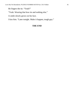He fingers the tie. "Yeah?"

"Yeah. Wearing that bow tie and nothing else."

A smile slowly grows on his face.

I kiss him. "Later tonight. Make it happen, tough guy."

### **THE END**